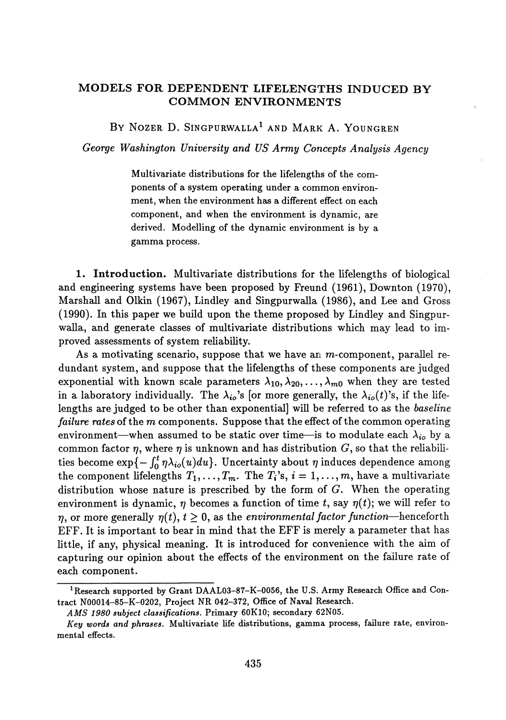## **MODELS FOR DEPENDENT LIFELENGTHS INDUCED BY COMMON ENVIRONMENTS**

BY NOZER D. SINGPURWALLA<sup>1</sup> and Mark A. Youngren

*George Washington University and US Army Concepts Analysis Agency*

Multivariate distributions for the lifelengths of the com ponents of a system operating under a common environ ment, when the environment has a different effect on each component, and when the environment is dynamic, are derived. Modelling of the dynamic environment is by a gamma process.

**1. Introduction.** Multivariate distributions for the lifelengths of biological and engineering systems have been proposed by Freund (1961), Downton (1970), Marshall and Olkin (1967), Lindley and Singpurwalla (1986), and Lee and Gross (1990). In this paper we build upon the theme proposed by Lindley and Singpur walla, and generate classes of multivariate distributions which may lead to im proved assessments of system reliability.

As a motivating scenario, suppose that we have an  $m$ -component, parallel redundant system, and suppose that the lifelengths of these components are judged exponential with known scale parameters  $\lambda_{10}, \lambda_{20}, \ldots, \lambda_{m0}$  when they are tested in a laboratory individually. The  $\lambda_{io}$ 's [or more generally, the  $\lambda_{io}(t)$ 's, if the life lengths are judged to be other than exponential] will be referred to as the *baseline failure rates* of the *m* components. Suppose that the effect of the common operating environment—when assumed to be static over time—is to modulate each  $\lambda_{i o}$  by a common factor  $\eta$ , where  $\eta$  is unknown and has distribution  $G$ , so that the reliabilities become  $\exp\{-\int_0^t \eta \lambda_{io}(u)du\}$ . Uncertainty about  $\eta$  induces dependence among the component lifelengths  $T_1, \ldots, T_m$ . The  $T_i$ 's,  $i = 1, \ldots, m$ , have a multivariate distribution whose nature is prescribed by the form of *G.* When the operating environment is dynamic,  $\eta$  becomes a function of time t, say  $\eta(t)$ ; we will refer to  $\eta$ , or more generally  $\eta(t)$ ,  $t \geq 0$ , as the *environmental factor function*—henceforth EFF. It is important to bear in mind that the EFF is merely a parameter that has little, if any, physical meaning. It is introduced for convenience with the aim of capturing our opinion about the effects of the environment on the failure rate of each component.

<sup>&</sup>lt;sup>1</sup> Research supported by Grant DAAL03-87-K-0056, the U.S. Army Research Office and Con**tract N00014-85-K-0202, Project NR 042-372, Office of Naval Research.**

*AMS 1980 subject classifications.* **Primary 60K10; secondary 62N05.**

*Key words and phrases.* **Multivariate life distributions, gamma process, failure rate, environ mental effects.**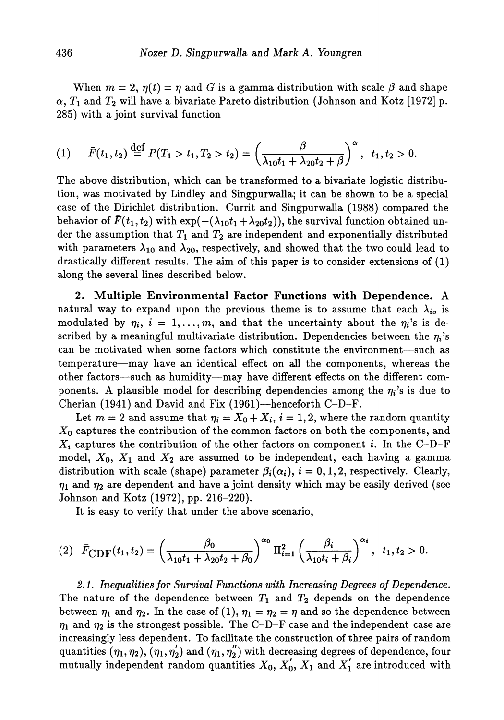When  $m = 2$ ,  $\eta(t) = \eta$  and *G* is a gamma distribution with scale  $\beta$  and shape ,  $T_1$  and  $T_2$  will have a bivariate Pareto distribution (Johnson and Kotz [1972] p. 285) with a joint survival function

$$
(1) \qquad \bar{F}(t_1, t_2) \stackrel{\text{def}}{=} P(T_1 > t_1, T_2 > t_2) = \left(\frac{\beta}{\lambda_{10} t_1 + \lambda_{20} t_2 + \beta}\right)^{\alpha}, \quad t_1, t_2 > 0.
$$

The above distribution, which can be transformed to a bivariate logistic distribu tion, was motivated by Lindley and Singpurwalla; it can be shown to be a special case of the Dirichlet distribution. Currit and Singpurwalla (1988) compared the behavior of  $\bar{F}(t_1,t_2)$  with  $\exp(-(\lambda_{10} t_1 + \lambda_{20} t_2)),$  the survival function obtained un  $\det$  the assumption that  $T_1$  and  $T_2$  are independent and exponentially distributed with parameters  $\lambda_{10}$  and  $\lambda_{20}$ , respectively, and showed that the two could lead to drastically different results. The aim of this paper is to consider extensions of (1) along the several lines described below.

**2. Multiple Environmental Factor Functions with Dependence.** A natural way to expand upon the previous theme is to assume that each  $\lambda_{io}$  is modulated by  $\eta_i$ ,  $i = 1, ..., m$ , and that the uncertainty about the  $\eta_i$ 's is de scribed by a meaningful multivariate distribution. Dependencies between the  $\eta_i$ 's can be motivated when some factors which constitute the environment—such as temperature—may have an identical effect on all the components, whereas the other factors—such as humidity—may have different effects on the different com ponents. A plausible model for describing dependencies among the  $\eta_i$ 's is due to Cherian (1941) and David and Fix (1961)—henceforth C-D-F.

Let  $m = 2$  and assume that  $\eta_i = X_0 + X_i$ ,  $i = 1, 2$ , where the random quantity *Xo* captures the contribution of the common factors on both the components, and *Xi* captures the contribution of the other factors on component *i.* In the C-D-F model,  $X_0, \; X_1$  and  $X_2$  are assumed to be independent, each having a gamma distribution with scale (shape) parameter  $\beta_i(\alpha_i)$ ,  $i = 0, 1, 2$ , respectively. Clearly,  $\eta_1$  and  $\eta_2$  are dependent and have a joint density which may be easily derived (see Johnson and Kotz (1972), pp. 216-220).

It is easy to verify that under the above scenario,

$$
(2) \quad \bar{F}_{\text{CDF}}(t_1, t_2) = \left(\frac{\beta_0}{\lambda_{10}t_1 + \lambda_{20}t_2 + \beta_0}\right)^{\alpha_0} \Pi_{i=1}^2 \left(\frac{\beta_i}{\lambda_{10}t_i + \beta_i}\right)^{\alpha_i}, \quad t_1, t_2 > 0.
$$

*2.1. Inequalities for Survival Functions with Increasing Degrees of Dependence.* The nature of the dependence between  $T_1$  and  $T_2$  depends on the dependence between  $\eta_1$  and  $\eta_2$ . In the case of (1),  $\eta_1 = \eta_2 = \eta$  and so the dependence between  $\eta_1$  and  $\eta_2$  is the strongest possible. The C–D–F case and the independent case are increasingly less dependent. To facilitate the construction of three pairs of random quantities  $(\eta_1,\eta_2), (\eta_1,\eta_2')$  and  $(\eta_1,\eta_2')$  with decreasing degrees of dependence, four mutually independent random quantities  $X_0$ ,  $X'_0$ ,  $X_1$  and  $X'_1$  are introduced with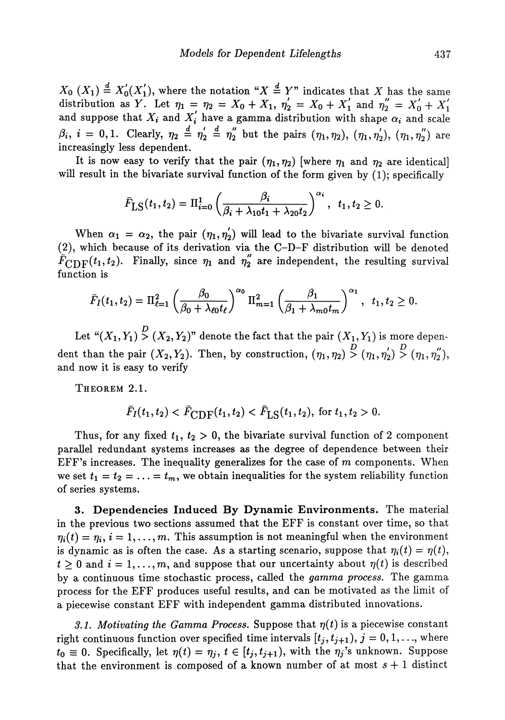$X_0$   $(X_1) \triangleq X_0(X_1)$ , where the notation " $X \triangleq Y$ " indicates that X has the same distribution as Y. Let  $\eta_1 = \eta_2 = X_0 + X_1$ ,  $\eta'_2 = X_0 + X'_1$  and  $\eta''_2 = X'_0 + X'_1$ and suppose that  $X_i$  and  $X'_i$  have a gamma distribution with shape  $\alpha_i$  and scale *β<sub>i</sub>*,  $i = 0, 1$ . Clearly,  $η_2 = η_2 = η_2$  but the pairs  $(η_1, η_2)$ ,  $(η_1, η_2')$ ,  $(η_1, η_2'')$  ar increasingly less dependent.

It is now easy to verify that the pair  $(\eta_1, \eta_2)$  [where  $\eta_1$  and  $\eta_2$  are identical] will result in the bivariate survival function of the form given by (1); specifically

$$
\bar{F}_{\text{LS}}(t_1, t_2) = \Pi_{i=0}^1 \left( \frac{\beta_i}{\beta_i + \lambda_{10} t_1 + \lambda_{20} t_2} \right)^{\alpha_i}, t_1, t_2 \geq 0.
$$

When  $\alpha_1 = \alpha_2$ , the pair  $(\eta_1, \eta_2')$  will lead to the bivariate survival function (2), which because of its derivation via the C-D-F distribution will be denoted  $\bar{F}_{\text{CDF}}(t_1, t_2)$ . Finally, since  $\eta_1$  and  $\eta_2^{''}$  are independent, the resulting survival function is

$$
\bar{F}_I(t_1, t_2) = \Pi_{\ell=1}^2 \left( \frac{\beta_0}{\beta_0 + \lambda_{\ell 0} t_{\ell}} \right)^{\alpha_0} \Pi_{m=1}^2 \left( \frac{\beta_1}{\beta_1 + \lambda_{m0} t_m} \right)^{\alpha_1}, t_1, t_2 \ge 0.
$$

Let  $\lq (X_1,Y_1) \stackrel{\textstyle <}{\textstyle >} (X_2,Y_2)^n$  denote the fact that the pair  $(X_1,Y_1)$  is more depen dent than the pair  $(X_2, Y_2)$ . Then, by construction,  $(\eta_1, \eta_2) \stackrel{D}{>} (\eta_1, \eta_2') \stackrel{D}{>} (\eta_1, \eta_2'')$ , and now it is easy to verify

THEOREM 2.1.

$$
\bar{F}_I(t_1, t_2) < \bar{F}_{\text{CDF}}(t_1, t_2) < \bar{F}_{\text{LS}}(t_1, t_2), \text{ for } t_1, t_2 > 0.
$$

Thus, for any fixed  $t_1, t_2 > 0$ , the bivariate survival function of 2 component parallel redundant systems increases as the degree of dependence between their EFF's increases. The inequality generalizes for the case of *m* components. When we set  $t_1 = t_2 = \ldots = t_m$ , we obtain inequalities for the system reliability function of series systems.

**3. Dependencies Induced By Dynamic Environments.** The material in the previous two sections assumed that the EFF is constant over time, so that  $\eta_i(t) = \eta_i, i = 1, \ldots, m$ . This assumption is not meaningful when the environment is dynamic as is often the case. As a starting scenario, suppose that  $\eta_i(t) = \eta(t)$ ,  $t > 0$  and  $i = 1, \ldots, m$ , and suppose that our uncertainty about  $\eta(t)$  is described by a continuous time stochastic process, called the *gamma process.* The gamma process for the EFF produces useful results, and can be motivated as the limit of a piece wise constant EFF with independent gamma distributed innovations.

*3.1. Motivating the Gamma Process.* Suppose that  $\eta(t)$  is a piecewise constant right continuous function over specified time intervals  $[t_j, t_{j+1}), j = 0, 1, \ldots$ , where  $t_0 \equiv 0$ . Specifically, let  $\eta(t) = \eta_j, \, t \in [t_j, t_{j+1}),$  with the  $\eta_j$ 's unknown. Suppose that the environment is composed of a known number of at most  $s + 1$  distinct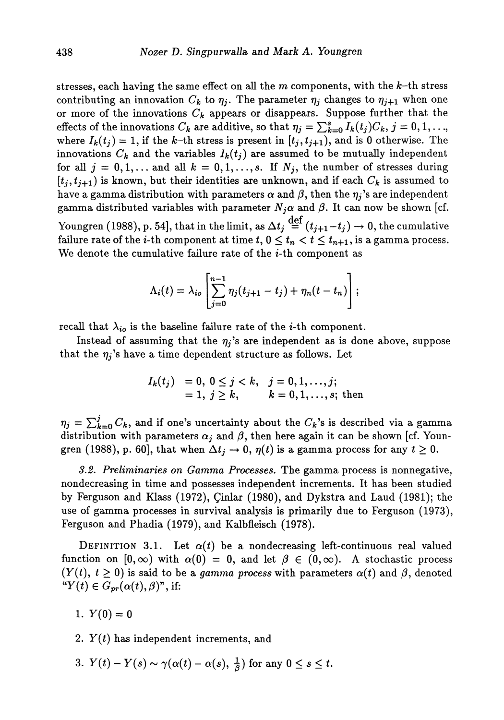stresses, each having the same effect on all the  $m$  components, with the  $k$ -th stress contributing an innovation  $C_k$  to  $\eta_i$ . The parameter  $\eta_i$  changes to  $\eta_{i+1}$  when one or more of the innovations  $C_k$  appears or disappears. Suppose further that the effects of the innovations  $C_k$  are additive, so that  $\eta_j = \sum_{k=0}^s I_k(t_j)C_k$ ,  $j=0,1,...,$ where  $I_k(t_j) = 1$ , if the k-th stress is present in  $[t_j, t_{j+1})$ , and is 0 otherwise. The innovations  $C_k$  and the variables  $I_k(t_j)$  are assumed to be mutually independent for all  $j = 0,1,...$  and all  $k = 0,1,...,s$ . If  $N_j$ , the number of stresses during  $[t_i, t_{i+1})$  is known, but their identities are unknown, and if each  $C_k$  is assumed to have a gamma distribution with parameters  $\alpha$  and  $\beta$ , then the  $\eta_j$ 's are independent gamma distributed variables with parameter  $N_j \alpha$  and  $\beta$ . It can now be shown [cf. Youngren (1988), p. 54], that in the limit, as  $\Delta t_j \stackrel{{\mathrm {def}}}{=} (t_{j+1}\!-\!t_j)\to 0,$  the cumulative failure rate of the *i*-th component at time  $t, 0 \le t_n < t \le t_{n+1}$ , is a gamma process. We denote the cumulative failure rate of the *i*-th component as

$$
\Lambda_i(t) = \lambda_{io} \left[ \sum_{j=0}^{n-1} \eta_j(t_{j+1} - t_j) + \eta_n(t - t_n) \right];
$$

recall that  $\lambda_{io}$  is the baseline failure rate of the *i*-th component.

Instead of assuming that the  $\eta_j$ 's are independent as is done above, suppose that the  $\eta_j$ 's have a time dependent structure as follows. Let

$$
I_k(t_j) = 0, 0 \le j < k, \quad j = 0, 1, \ldots, j; \\
= 1, j \ge k, \qquad k = 0, 1, \ldots, s; \text{ then}
$$

 $\eta_j = \sum_{k=0}^j C_k$ , and if one's uncertainty about the  $C_k$ 's is described via a gamma distribution with parameters  $\alpha_i$  and  $\beta$ , then here again it can be shown [cf. Youngren (1988), p. 60], that when  $\Delta t_j \to 0$ ,  $\eta(t)$  is a gamma process for any  $t \geq 0$ .

*3.2. Preliminaries on Gamma Processes.* The gamma process is nonnegative, nondecreasing in time and possesses independent increments. It has been studied by Ferguson and Klass (1972), £inlar (1980), and Dykstra and Laud (1981); the use of gamma processes in survival analysis is primarily due to Ferguson (1973), Ferguson and Phadia (1979), and Kalbfleisch (1978).

DEFINITION 3.1. Let  $\alpha(t)$  be a nondecreasing left-continuous real valued function on  $[0,\infty)$  with  $\alpha(0) = 0$ , and let  $\beta \in (0,\infty)$ . A stochastic process  $(Y(t), t \ge 0)$  is said to be a *gamma process* with parameters  $\alpha(t)$  and  $\beta$ , denoted  $\overset{\sim}{\mathbf{H}}\left(Y(t)\in\overline{G}_{pr}(\alpha(t),\beta)^{n},\text{if:}\right)$ 

- 1.  $Y(0) = 0$
- 2. *Y(t)* has independent increments, and
- 3.  $Y(t) Y(s) \sim \gamma(\alpha(t) \alpha(s), \frac{1}{\beta})$  for any  $0 \leq s \leq t$ .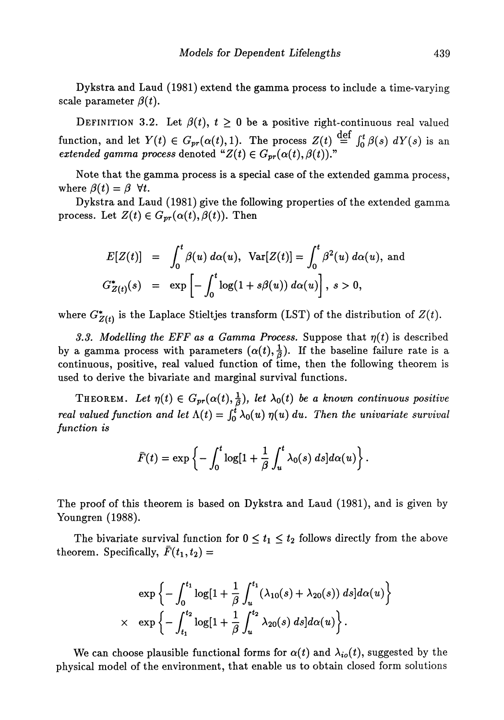Dykstra and Laud (1981) extend the gamma process to include a time-varying scale parameter *β(t).*

DEFINITION 3.2. Let  $\beta(t)$ ,  $t \geq 0$  be a positive right-continuous real valued function, and let  $Y(t) \in G_{pr}(\alpha(t),1)$ . The process  $Z(t) \stackrel{\text{def}}{=} \int_0^t \beta(s) dY(s)$  is an  $\emph{extended gamma process}$  denoted  $\emph{``}Z(t) \in G_{pr}(\alpha(t),\beta(t)).$ "

Note that the gamma process is a special case of the extended gamma process, where  $\beta(t) = \beta$   $\forall t$ .

Dykstra and Laud (1981) give the following properties of the extended gamma process. Let  $Z(t) \in G_{pr}(\alpha(t), \beta(t))$ . Then

$$
E[Z(t)] = \int_0^t \beta(u) d\alpha(u), \quad \text{Var}[Z(t)] = \int_0^t \beta^2(u) d\alpha(u), \text{ and}
$$

$$
G_{Z(t)}^*(s) = \exp\left[-\int_0^t \log(1 + s\beta(u)) d\alpha(u)\right], \quad s > 0,
$$

where  $G^*_{Z(t)}$  is the Laplace Stieltjes transform (LST) of the distribution of  $Z(t)$ .

*3.3. Modelling the EFF as a Gamma Process.* Suppose that *η(t)* is described by a gamma process with parameters  $(\alpha(t), \frac{1}{\beta})$ . If the baseline failure rate is a continuous, positive, real valued function of time, then the following theorem is used to derive the bivariate and marginal survival functions.

THEOREM. Let  $\eta(t) \in G_{pr}(\alpha(t),\frac{1}{\beta})$ , let  $\lambda_0(t)$  be a known continuous positive *real valued function and let*  $\Lambda(t) = \int_0^t \lambda_0(u) \eta(u) du$ . Then the univariate survival *function is*

$$
\bar{F}(t) = \exp \left\{-\int_0^t \log[1 + \frac{1}{\beta} \int_u^t \lambda_0(s) \ ds] d\alpha(u)\right\}.
$$

The proof of this theorem is based on Dykstra and Laud (1981), and is given by Youngren (1988).

The bivariate survival function for  $0 \le t_1 \le t_2$  follows directly from the above theorem. Specifically,  $\bar{F}(t_1, t_2) =$ 

$$
\exp\left\{-\int_0^{t_1} \log[1+\frac{1}{\beta}\int_u^{t_1} (\lambda_{10}(s)+\lambda_{20}(s)) ds] d\alpha(u)\right\}
$$
  
 
$$
\times \exp\left\{-\int_{t_1}^{t_2} \log[1+\frac{1}{\beta}\int_u^{t_2} \lambda_{20}(s) ds] d\alpha(u)\right\}.
$$

We can choose plausible functional forms for  $\alpha(t)$  and  $\lambda_{io}(t)$ , suggested by the physical model of the environment, that enable us to obtain closed form solutions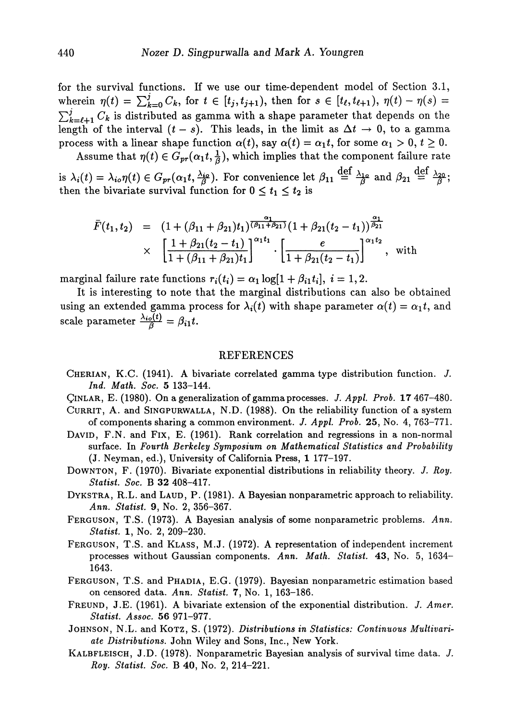for the survival functions. If we use our time-dependent model of Section 3.1,  $\text{wherein } \eta(t) = \sum_{k=0}^{j} C_k, \text{ for } t \in [t_j, t_{j+1}), \text{ then for } s \in [t_\ell, t_{\ell+1}), \eta(t) - \eta(s) = 0$  $\sum_{k=\ell+1}^{j} C_k$  is distributed as gamma with a shape parameter that depends on the length of the interval  $(t - s)$ . This leads, in the limit as  $\Delta t \rightarrow 0$ , to a gamma process with a linear shape function  $\alpha(t)$ , say  $\alpha(t) = \alpha_1 t$ , for some  $\alpha_1 > 0$ ,  $t \geq 0$ .

Assume that  $\eta(t) \in G_{pr}(\alpha_1 t, \frac{1}{\beta})$ , which implies that the component failure rate

is  $\lambda_i(t) = \lambda_{i0}\eta(t) \in G_{pr}(\alpha_1 t, \frac{\lambda_{i0}}{\beta})$ . For convenience let  $\beta_{11} \stackrel{\text{def}}{=} \frac{\lambda_{10}}{\beta}$  and  $\beta_{21} \stackrel{\text{def}}{=} \frac{\lambda_{20}}{\beta}$ then the bivariate survival function for  $0 \le t_1 \le t_2$  is

$$
\begin{array}{rcl}\n\bar{F}(t_1, t_2) & = & \left(1 + (\beta_{11} + \beta_{21})t_1\right)^{\frac{\alpha_1}{(\beta_{11} + \beta_{21})}} \left(1 + \beta_{21}(t_2 - t_1)\right)^{\frac{\alpha_1}{\beta_{21}}} \\
& & \times \left[\frac{1 + \beta_{21}(t_2 - t_1)}{1 + (\beta_{11} + \beta_{21})t_1}\right]^{\alpha_1 t_1} \cdot \left[\frac{e}{1 + \beta_{21}(t_2 - t_1)}\right]^{\alpha_1 t_2}, \quad \text{with}\n\end{array}
$$

marginal failure rate functions  $r_i(t_i) = \alpha_1 \log[1 + \beta_{i1} t_i], i = 1, 2$ .

It is interesting to note that the marginal distributions can also be obtained using an extended gamma process for  $\lambda_i(t)$  with shape parameter  $\alpha(t) = \alpha_1 t$ , and scale parameter  $\frac{\lambda_{i0}(t)}{\beta} = \beta_{i1}t$ .

## REFERENCES

- CHERIAN, K.C. (1941). A bivariate correlated gamma type distribution function. *J. Ind. Math. Soc.* 5 133-144.
- QiNLAR, E. (1980). On a generalization of gamma processes. *J. Appl. Prob.* 17 467-480.
- CURRIT, A. and SINGPURWALLA, N.D. (1988). On the reliability function of a system of components sharing a common environment. *J. Appl Prob.* 25, No. 4, 763-771.
- DAVID, F.N. and Fix, E. (1961). Rank correlation and regressions in a non-normal surface. In *Fourth Berkeley Symposium on Mathematical Statistics and Probability* (J. Neyman, ed.), University of California Press, 1 177-197.
- DOWNTON, F. (1970). Bivariate exponential distributions in reliability theory. /. *Roy. Statist Soc.* B 32 408-417.
- DYKSTRA, R.L. and LAUD, P. (1981). A Bayesian nonparametric approach to reliability. *Ann. Statist.* 9, No. 2, 356-367.
- FERGUSON, T.S. (1973). A Bayesian analysis of some nonparametric problems. *Ann. Statist.* 1, No. 2, 209-230.
- FERGUSON, T.S. and KLASS, M.J. (1972). A representation of independent increment processes without Gaussian components. *Ann. Math. Statist.* 43, No. 5, 1634 1643.
- FERGUSON, T.S. and PHADIA, E.G. (1979). Bayesian nonparametric estimation based on censored data. *Ann. Statist.* 7, No. 1, 163-186.
- FREUND, J.E. (1961). A bivariate extension of the exponential distribution. *J. Amer. Statist. Assoc.* 56 971-977.
- JOHNSON, N.L. and KOTZ, S. (1972). *Distributions in Statistics: Continuous Multivariate Distributions.* John Wiley and Sons, Inc., New York.
- KALBFLEISCH, J.D. (1978). Nonparametric Bayesian analysis of survival time data. *J. Roy. Statist. Soc.* B 40, No. 2, 214-221.